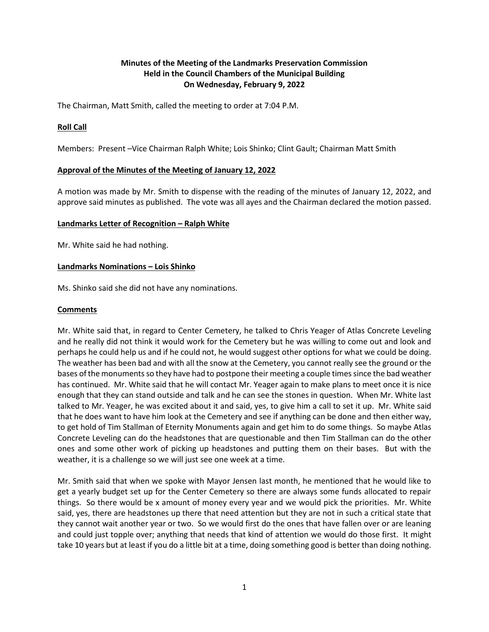# **Minutes of the Meeting of the Landmarks Preservation Commission Held in the Council Chambers of the Municipal Building On Wednesday, February 9, 2022**

The Chairman, Matt Smith, called the meeting to order at 7:04 P.M.

## **Roll Call**

Members: Present –Vice Chairman Ralph White; Lois Shinko; Clint Gault; Chairman Matt Smith

## **Approval of the Minutes of the Meeting of January 12, 2022**

A motion was made by Mr. Smith to dispense with the reading of the minutes of January 12, 2022, and approve said minutes as published. The vote was all ayes and the Chairman declared the motion passed.

## **Landmarks Letter of Recognition – Ralph White**

Mr. White said he had nothing.

#### **Landmarks Nominations – Lois Shinko**

Ms. Shinko said she did not have any nominations.

## **Comments**

Mr. White said that, in regard to Center Cemetery, he talked to Chris Yeager of Atlas Concrete Leveling and he really did not think it would work for the Cemetery but he was willing to come out and look and perhaps he could help us and if he could not, he would suggest other options for what we could be doing. The weather has been bad and with all the snow at the Cemetery, you cannot really see the ground or the bases of the monuments so they have had to postpone their meeting a couple times since the bad weather has continued. Mr. White said that he will contact Mr. Yeager again to make plans to meet once it is nice enough that they can stand outside and talk and he can see the stones in question. When Mr. White last talked to Mr. Yeager, he was excited about it and said, yes, to give him a call to set it up. Mr. White said that he does want to have him look at the Cemetery and see if anything can be done and then either way, to get hold of Tim Stallman of Eternity Monuments again and get him to do some things. So maybe Atlas Concrete Leveling can do the headstones that are questionable and then Tim Stallman can do the other ones and some other work of picking up headstones and putting them on their bases. But with the weather, it is a challenge so we will just see one week at a time.

Mr. Smith said that when we spoke with Mayor Jensen last month, he mentioned that he would like to get a yearly budget set up for the Center Cemetery so there are always some funds allocated to repair things. So there would be x amount of money every year and we would pick the priorities. Mr. White said, yes, there are headstones up there that need attention but they are not in such a critical state that they cannot wait another year or two. So we would first do the ones that have fallen over or are leaning and could just topple over; anything that needs that kind of attention we would do those first. It might take 10 years but at least if you do a little bit at a time, doing something good is better than doing nothing.